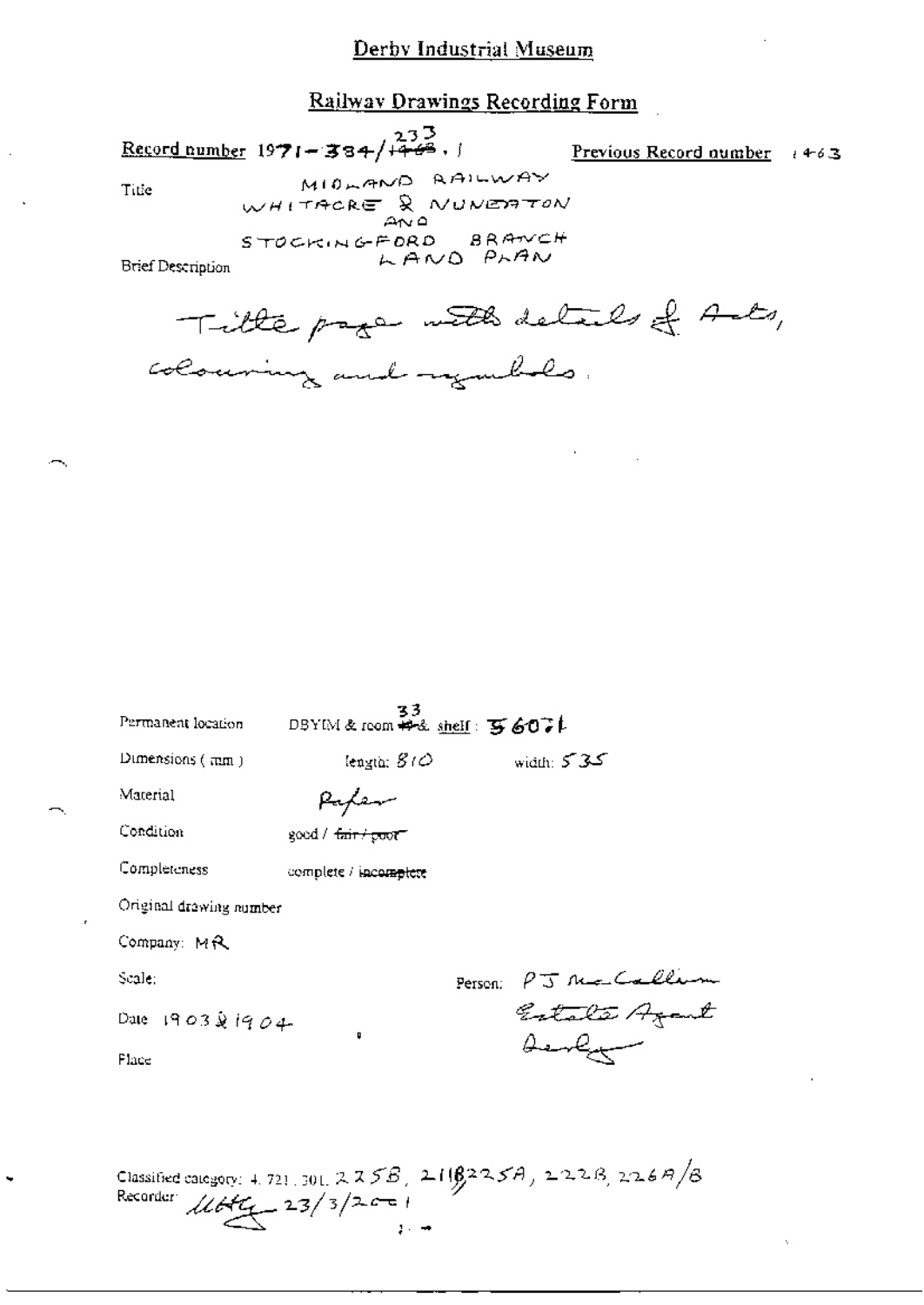#### Railway Drawings Recording Form

Record number 1971-334/+443, 1

Previous Record number  $+63$ 

Title

MIDLAND RAILWAY WHITACRE & NUNERTON STOCKINGFORD BRANCH LAND PLAN

Brief Description

Title page with details of Ants, colouring and regarded.

| Permanent location      | 33<br>DBYIM& room #~& shelf: 写6071 |                                       |
|-------------------------|------------------------------------|---------------------------------------|
| Dimensions (mm)         | length: $S/O$                      | ككركر width:                          |
| Material                |                                    |                                       |
| Condition               | good / <del>fair / goot</del>      |                                       |
| Completeness            | complete / incomplete              |                                       |
| Original drawing number |                                    |                                       |
| Company: MR             |                                    |                                       |
| Scale:                  |                                    | Person:                               |
| Dale 1903 & 1904        | O                                  | PJ Mo Callin<br>Estata Azant<br>Aerly |
| Flace                   |                                    |                                       |
|                         |                                    |                                       |
|                         |                                    |                                       |

Classified category: 4.721.301. 225B, 211B225A, 222B, 226A/B<br>Recorder  $\mathcal{U}bK_{+}$  23/3/2001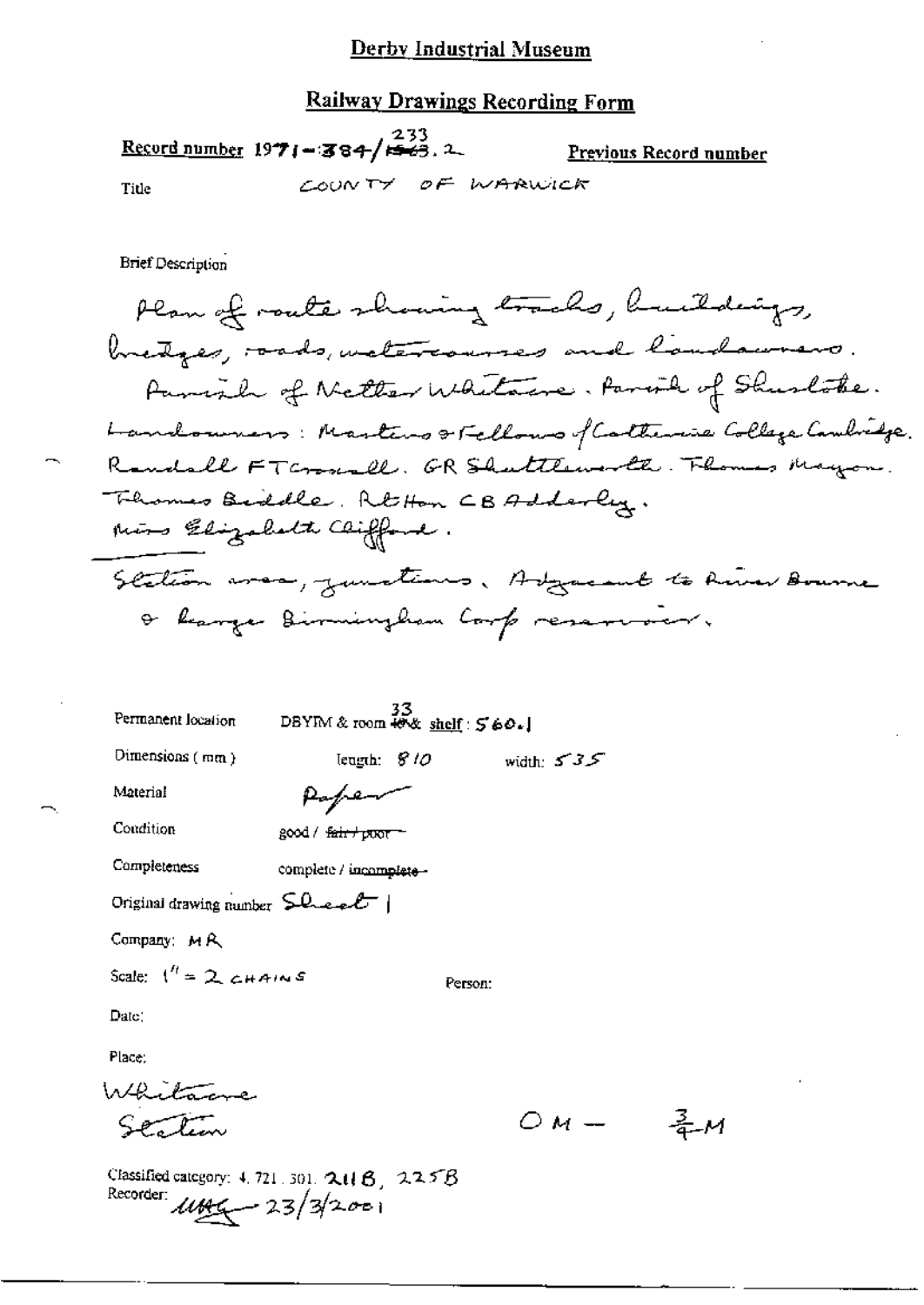#### **Railway Drawings Recording Form**

Record number 1971-384/ $\frac{233}{1563}$ . Previous Record number COUNTY OF WARWICK Title

**Brief Description** 

Plan of route showing tracks, buildings, bretges, roads, wetercourses and laudaurers. Parish of Netter Whitane. Parish of Shushoke. Landouners: Masters & Fellows of Cartherine College Cambridge. Randall FTCroscall. GR Shattlementh. Thomas Mayon Thermas Biddle, RtHon CBAdderly. mins Elizabeth Clifford. Scation was, junctions, Adjacent to River Bourne a hanger Birmingham Corp reservoir.

| Permanent location                                                       | $33$<br>DBYIM & room $\ddot{\bullet}$ & shelf : $560.$ |         |              |
|--------------------------------------------------------------------------|--------------------------------------------------------|---------|--------------|
| Dimensions (mm)                                                          | leugth: 810                                            |         | width: $535$ |
| Material                                                                 | forfre                                                 |         |              |
| Condition                                                                | good / <del>fair / poor</del>                          |         |              |
| Completeness                                                             | complete / incomplete -                                |         |              |
| Original drawing number $\mathsf{S}\mathsf{Q}_{\mathsf{new}}\mathcal{L}$ |                                                        |         |              |
| Company: MR                                                              |                                                        |         |              |
| Scale: $1'' = 2$ chains                                                  |                                                        | Person: |              |
| Date:                                                                    |                                                        |         |              |
| Place:                                                                   |                                                        |         |              |
|                                                                          |                                                        |         |              |
|                                                                          |                                                        |         |              |

 $\frac{3}{4}$  M

Classified category: 4, 721, 301,  $2\mu$   $6$ ,  $225B$ Recorder:  $11466 - 23/3/2001$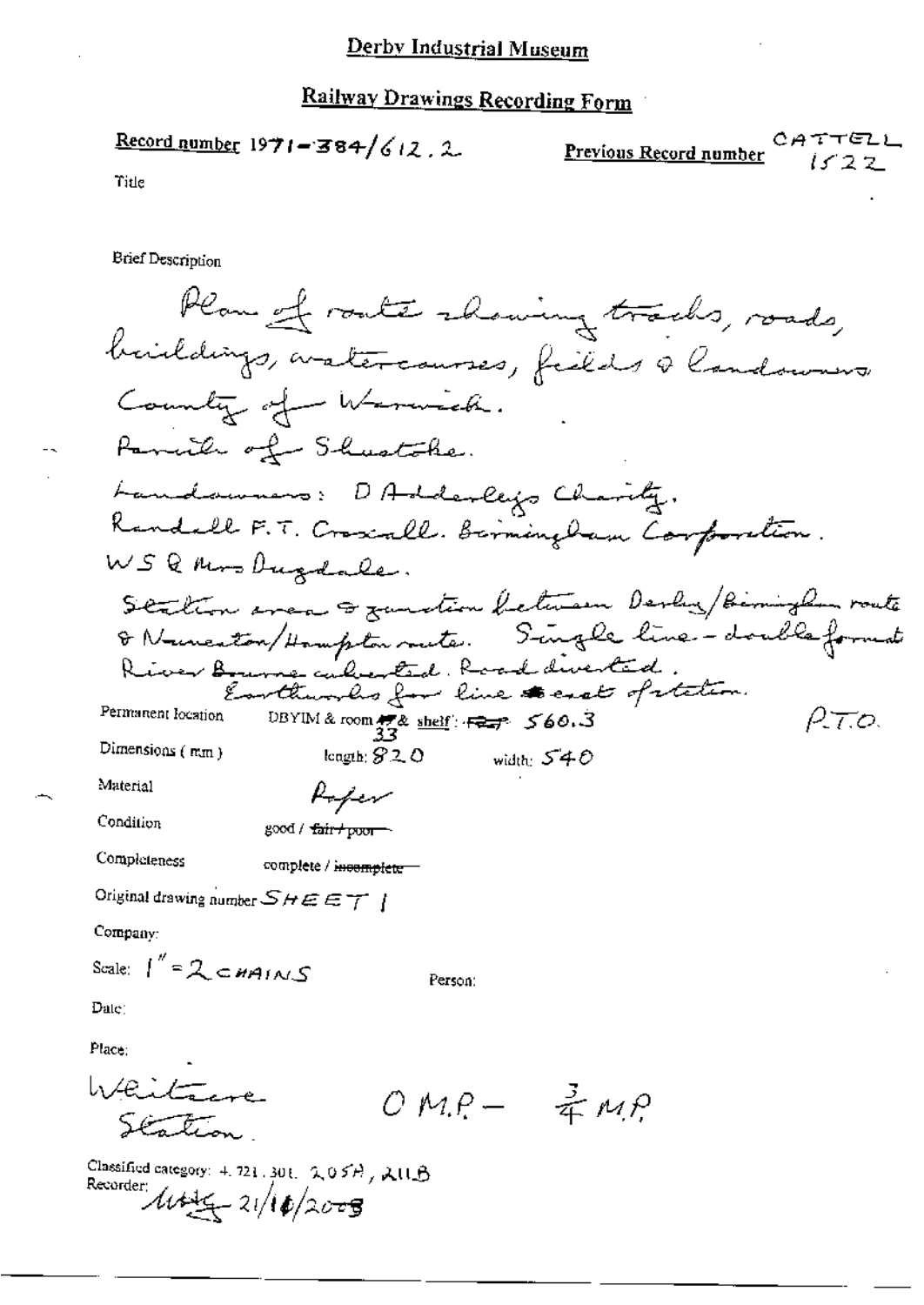$\frac{\text{Record number}}{1971 - 384}/612.2$ 

CATTEI Previous Record number

Title

**Brief Description** 

Plan of route chaning tracks, roads, buildings, aratercourses, fields a landowners County of Warnick. Panul of Shustche. Landowners: DAdderleys Charity. Randall F.T. Croscall. Berminglam Corporation. WSQMrsDugdale. Station area & zunstion between Derly / Birminglan route & Numerton/Hampton meter. Single line-double format River Bourne culverted. Road diverted.<br>Earthworks for line to east of retation. Permanent location DBYIM & room  $\frac{1}{32}$ & shelf:  $\frac{1}{32}$  560.3 RT.O. Dimensions (mm) longth;  $820$  width;  $540$ Material Poper Condition good / fair+poor Completeness complete / incomplete = Original drawing number  $SHEET$  | Company: Scale:  $1'' = 2 \text{ cmains}$ Person:  $Date:$ Place: Whitewe  $OM.P - \frac{3}{4}MP$ Station

Classified category: 4, 721, 301, 2, 05H, 2, 11B Recorder  $\mu = 21/10/2000$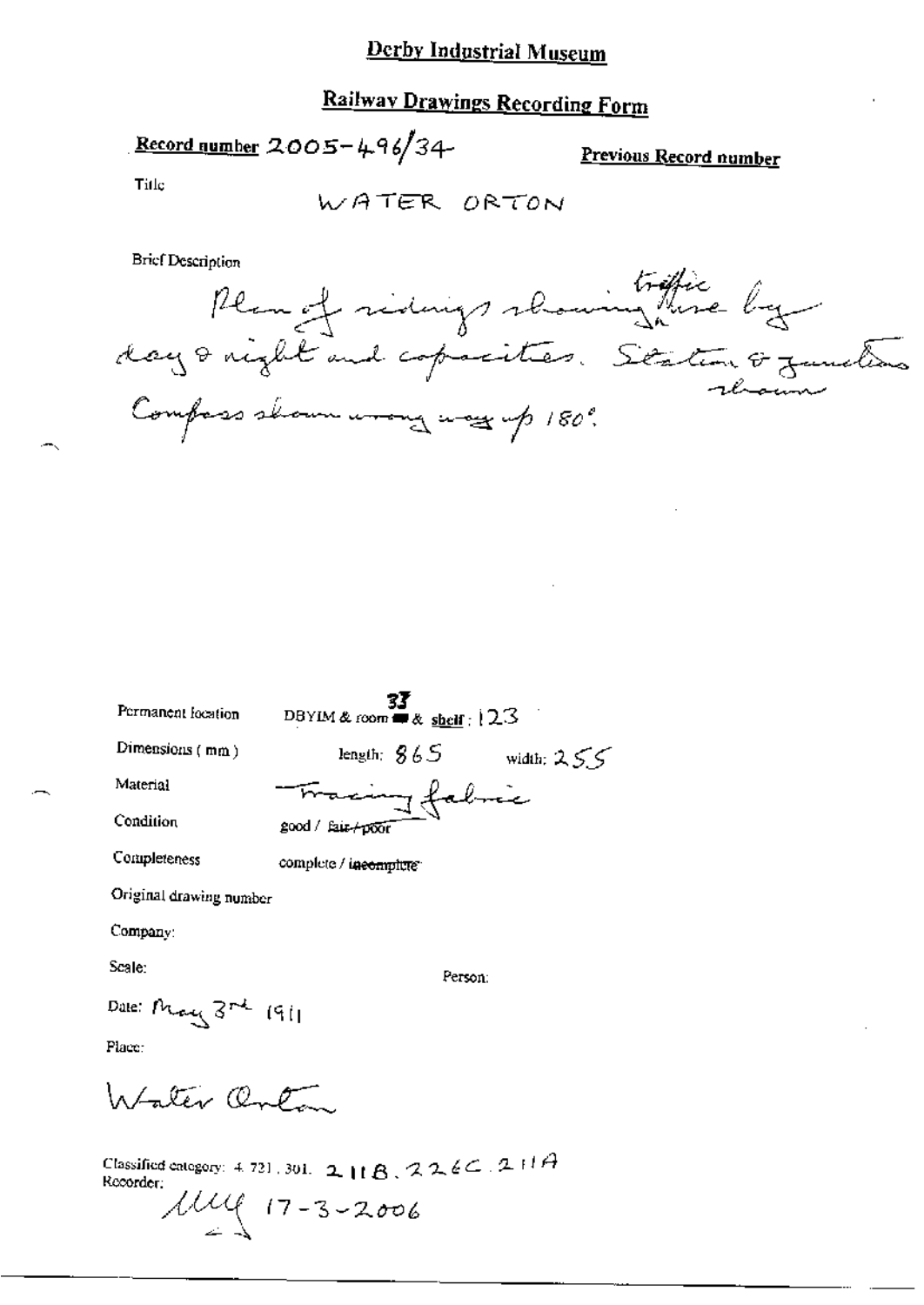# **Railway Drawings Recording Form**

Record number  $2005 - 496/34$ 

Previous Record number

Title

WATER ORTON

Briet Description<br>Remet ridings rhowing there by Compass shown wrong way up 180°.

| Permanent location      | 33<br>DBYIM & room $\blacksquare$ & shelf : 12.3 |
|-------------------------|--------------------------------------------------|
| Dimensions $(mn)$       | length: $865$<br>width: $255$                    |
| Material                | Tracing fabric                                   |
| Condition               | good / fair-poor                                 |
| Completeness            | complete / incomplete                            |
| Original drawing number |                                                  |
| Company:                |                                                  |
| Scale:                  | Person:                                          |
| Date: May 3rd 1911      |                                                  |

Place:

Intactiv Onton

Classified category: 4.721.301. 2 | 1 B.  $226C.211A$ Recorder:  $1149$   $17 - 3 - 2006$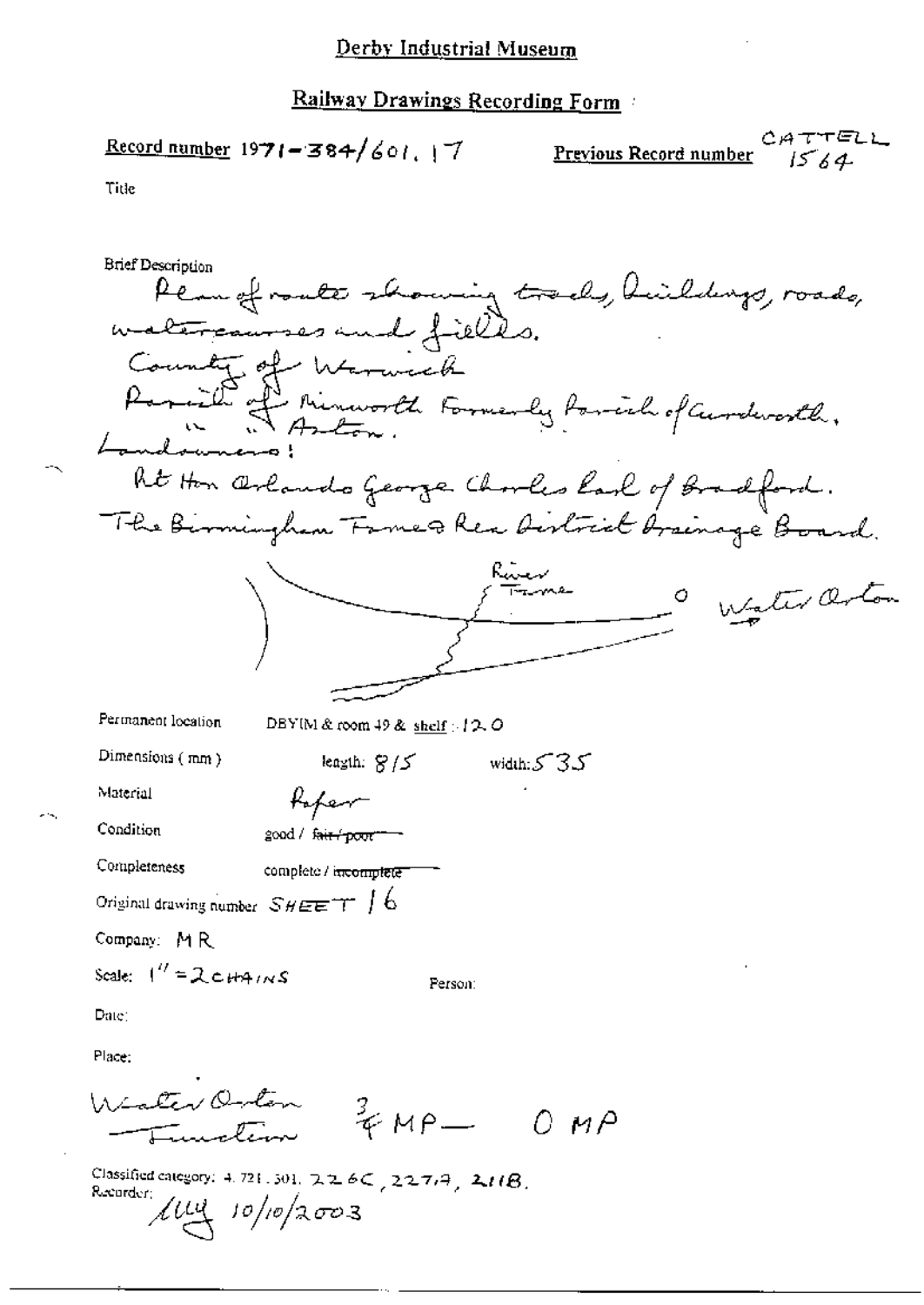$$
\frac{\text{Record number}}{1971 - 384} / \text{601.} \mid 7
$$

$$
\underbrace{Previous\text{ Record number}}_{1564}
$$

Title

жų,

| Brief Description                                                   |
|---------------------------------------------------------------------|
| Plan of route showing tracks, heild                                 |
| watercourses and fields.                                            |
| County of<br>Warwick                                                |
|                                                                     |
| Paraille affinitionale Formerly forcial of Curdevorth.<br>Landowner |
| ht Hon Orlando George Chorles Karl of Bradford.                     |
| The Birmingham Fame & Rea District brainage Board.                  |
| Wester Orton                                                        |
|                                                                     |
|                                                                     |
| Permanent location<br>DBYIM & room 49 & shelf $\approx$ 12. O       |
| Dimensions (mm)<br>leagth: $S/S$<br>width: $535$                    |
| Material<br>Kaper                                                   |
| Condition<br>good / fair poor                                       |
| Completeness<br>complete / incomplete                               |
| Original drawing number $\mathcal{SHEET}$ $\int\mathbf{6}$          |
| Company: MR                                                         |
| Scale: $1'' = 2 \text{ cm}$<br>Person:                              |
| Date:                                                               |
| Place:                                                              |
| Winter Orton<br>$3640 - 010$                                        |

Classified category: 4.721.501.  $226C$ ,  $227.4$ ,  $211B$ .<br>Recorder:<br> $\sqrt{UU}$   $10/p/2003$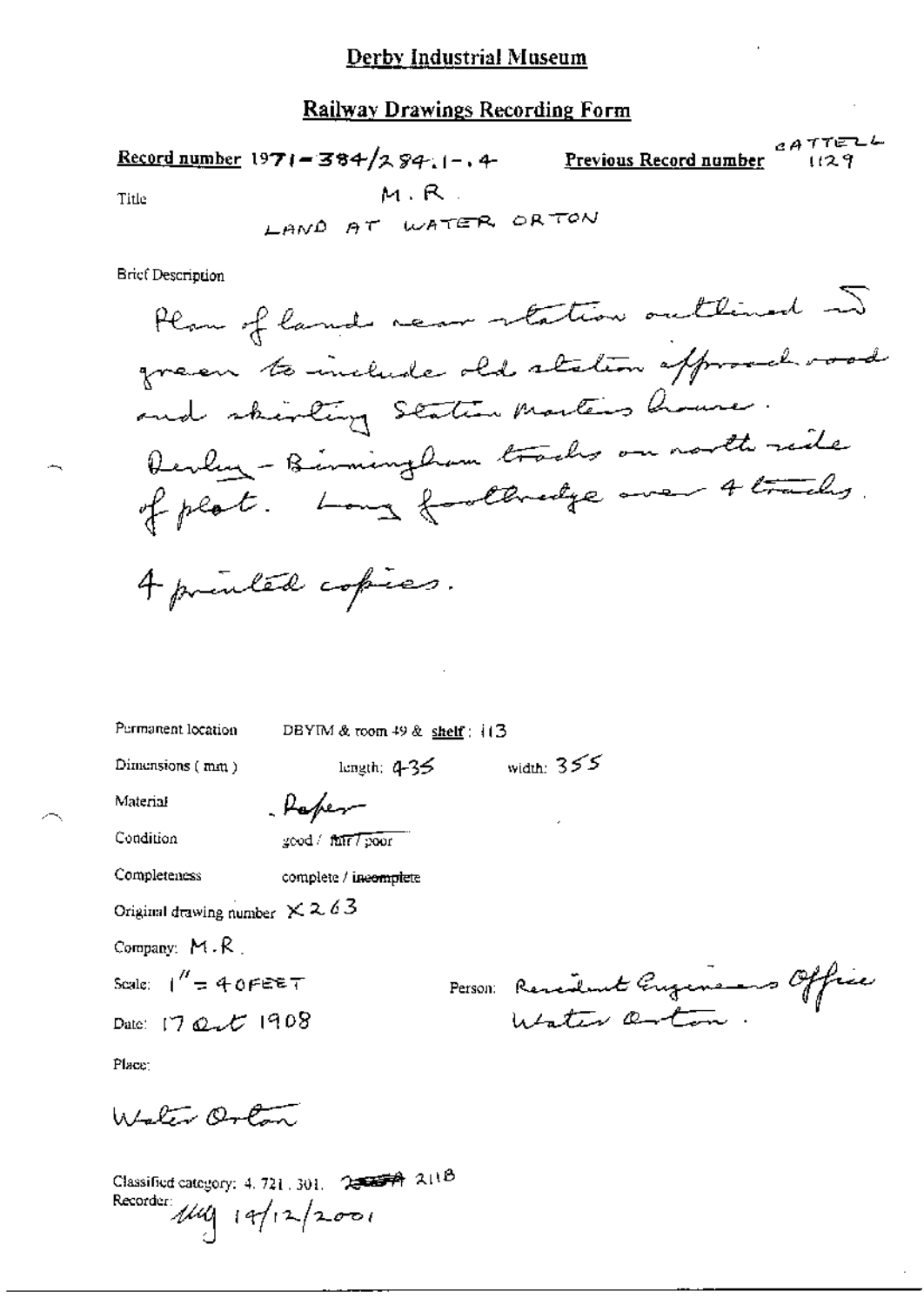#### Railway Drawings Recording Form

 $c$ ATTELL Record number 1971 = 384/284.1-, 4-Previous Record number  $1129$  $M, R$ . Title

LAND AT WATER ORTON

**Brief Description** 

Permanent location DBYIM & room 49 & shelf : it 3

Dimensions (mm)

length;  $4-35$  width:  $355$ 

Material Condition

good / fair / poor

Paper

Completeness

complete / ineomplete

Original drawing number  $\times$  2.63

Company:  $M.R$ .

Scale:  $1'' = 40$ FEET

Date: 17 Qut 1908

Person: Remember Gugens office

≂

Place:

Whalen Orlan

Classified category: 4, 721, 301. 2002 74 211B Recorder  $\mu\mu$  19/12/2001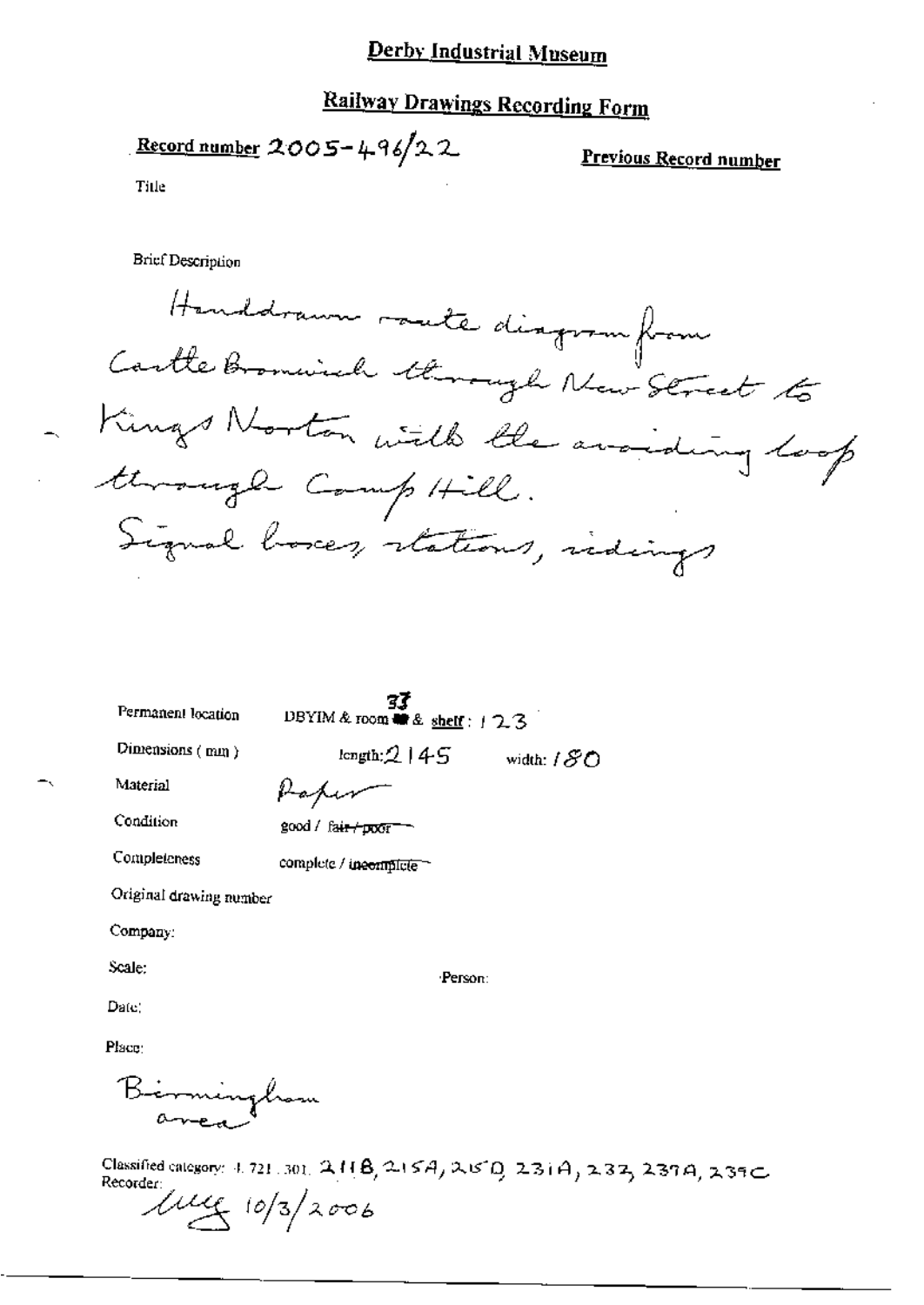# **Railway Drawings Recording Form**

Record number  $2005 - 496/22$ 

Previous Record number

Title

**Brief Description** 

Handstamm mate diagram from Cartle Bromwich through New Street to - Kings Norton with the avoiding loop through Comp Hill. Signal boxes, stations, indings

Permanent location

**37**<br>DBYIM & room **as** & shelf:  $123$ 

Dimensions (mm)

length;  $2145$ width:  $180$ 

Material

Paper

Condition

Completeness

good / fair / poor -

complete / incomplete

Original drawing number

Company:

Scale:

Person:

Date:

Place:

Birminghom

Classified category: 4.721.301. 2118, 215A, 21510. 231A, 232, 237A, 239C Recorder:

 $\mu_{4}$  10/3/2006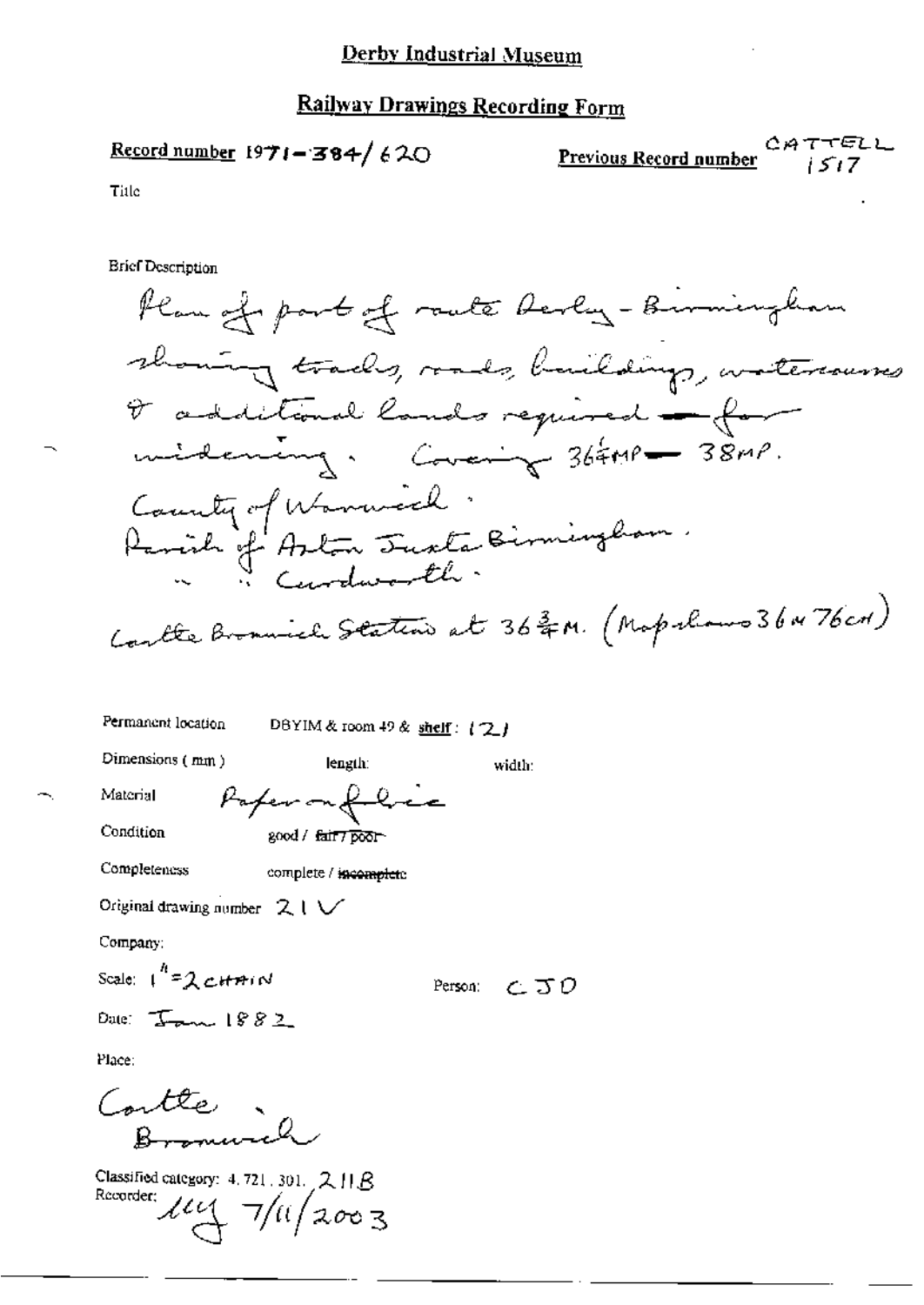Record number 1971-384/620

CATTELL Previous Record number  $i517$ 

Title

**Brief Description** 

width:

Person: CJO

Permanent location

DBYIM & room 49 & shelf: (2)

Dimensions (mm)

length:

Material

Condition

Papermit good / fair7poor

Completeness

complete / incomplete

Original drawing number  $21V$ 

Company:

Scale:  $1^{h}$ =2 cHAIN

Date:  $I_{\text{max}}$  1882

Place:

Contte Bromwich

Classified category: 4, 721, 301,  $2 \text{ H} R$ Recorder:  $\mu$   $\sim$  7/11/2003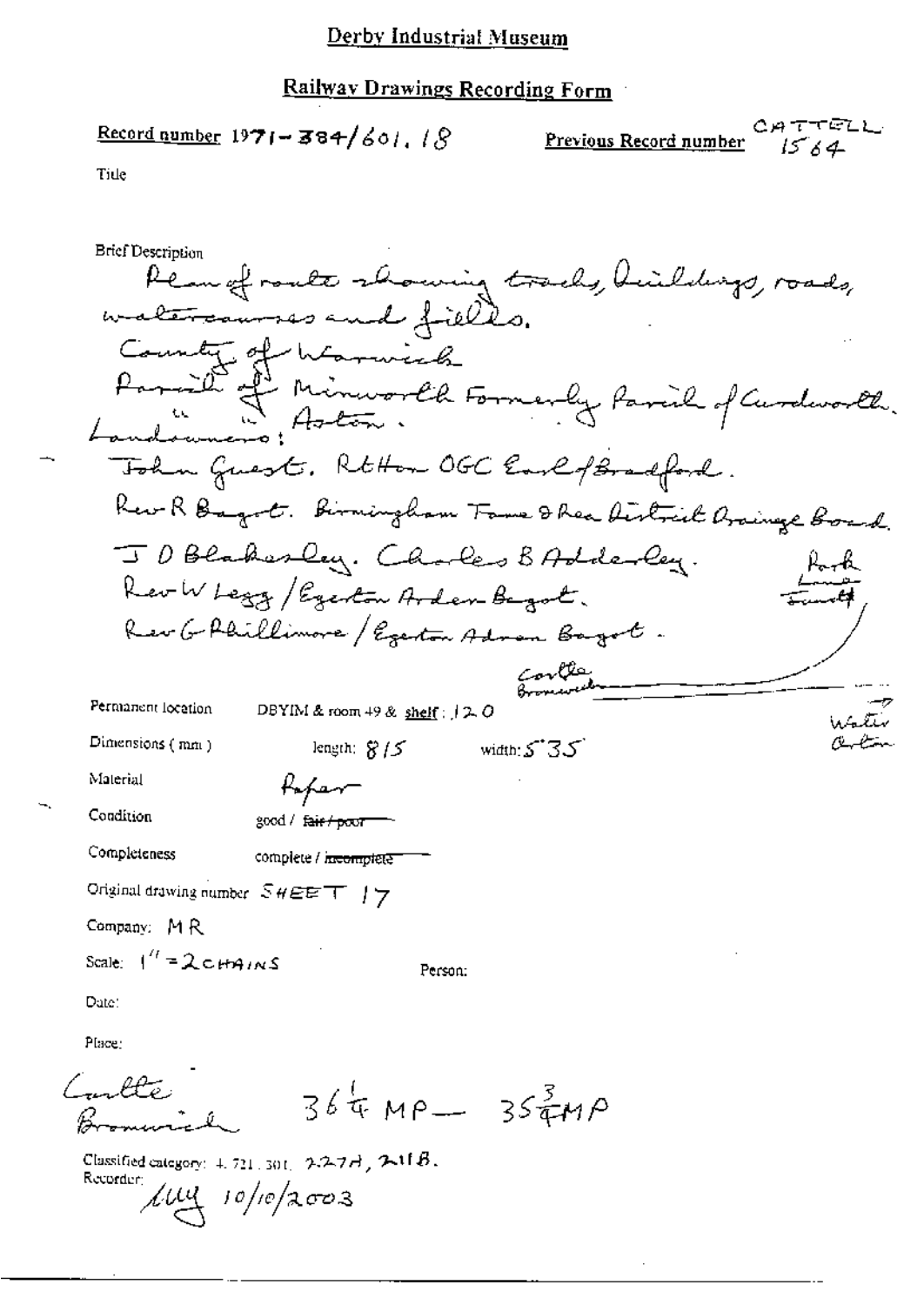# Railway Drawings Recording Form

Previous Record number  $1564$ 

 $\mathcal{L}_{\mathcal{A}}$ 

Tide

| Brief Description                                                                        |
|------------------------------------------------------------------------------------------|
| Pean of roate showing tracks, Heildigs, roads,                                           |
| watercourses and fields.                                                                 |
| County of Warwick                                                                        |
|                                                                                          |
| Parish of Minusorth Formerly Parish of Curdworth.<br>Landouners: Aston.                  |
| Tohn Guest. RtHon OGC Earlof Bradford.                                                   |
| Rev R Bayot. Birningham Fame & Rea Airlaich Arainge Board.                               |
| JD Blakesley. Chokes BAdderley.                                                          |
| Rev W Legg / Egenton Arden Bagot.                                                        |
| Rev G Phillimore / Egenton Adron Bagot.                                                  |
| بخكائمهم                                                                                 |
| Permanent location<br>DBYIM & room $49$ & shelf : $12.0$                                 |
| Dimensions (mm)<br>width: $5.35$<br>length: $8/5$                                        |
| Material<br>Kapam                                                                        |
| Condition<br>good / f <del>air/poor</del>                                                |
| Completeness<br>complete / <del>hicomplete</del>                                         |
| Original drawing number $SHEET$ / $7$                                                    |
| Company: MR                                                                              |
| Scale: $1'' = 2 \text{ cm}$<br>Person:                                                   |
| Date:                                                                                    |
| Place:                                                                                   |
| mble:<br>$364 \mu P - 3547 P$                                                            |
| Classified category: $4.721,301, 2.2.77$ , $2.11B$ .<br>Recorder:<br>$\mu$ uy 10/10/2003 |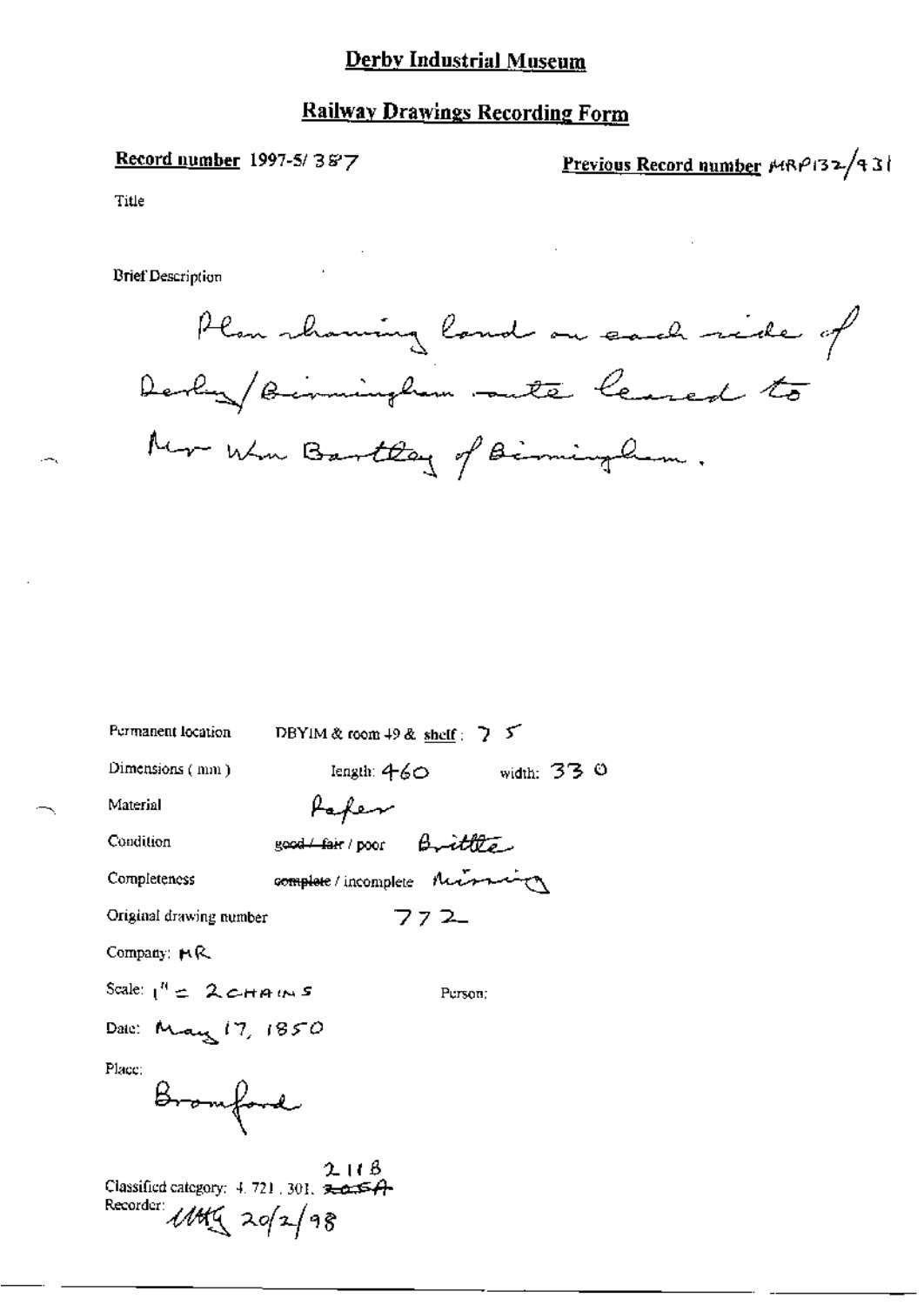## **Railway Drawings Recording Form**

#### Record number 1997-5/387

Previous Record number HRP132/431

Title

**Brief Description** 



| Permanent location                                                               | DBYIM & room $+9$ & shelf : $\overline{2}$ $\overline{5}$ |                                   |
|----------------------------------------------------------------------------------|-----------------------------------------------------------|-----------------------------------|
| Dimensions (mm)                                                                  |                                                           | $length: 460$ width: 33 $\degree$ |
| Material                                                                         | fafen                                                     |                                   |
| Condition                                                                        | good fair poor Brittle                                    |                                   |
| Completeness                                                                     | complete / incomplete Music                               |                                   |
| Original drawing number                                                          |                                                           | 772                               |
| Company: $M$ R.                                                                  |                                                           |                                   |
| Scale: $1^{n}$ $\leq$ 2 $c$ HAINS                                                |                                                           | Person:                           |
| Dale: May 17, 1850                                                               |                                                           |                                   |
| Place:<br>Bromford                                                               |                                                           |                                   |
| Classified category: 4, 721, 301, 30254<br>Recorder:<br>$111\frac{1}{2}$ 20/2/98 | 2115                                                      |                                   |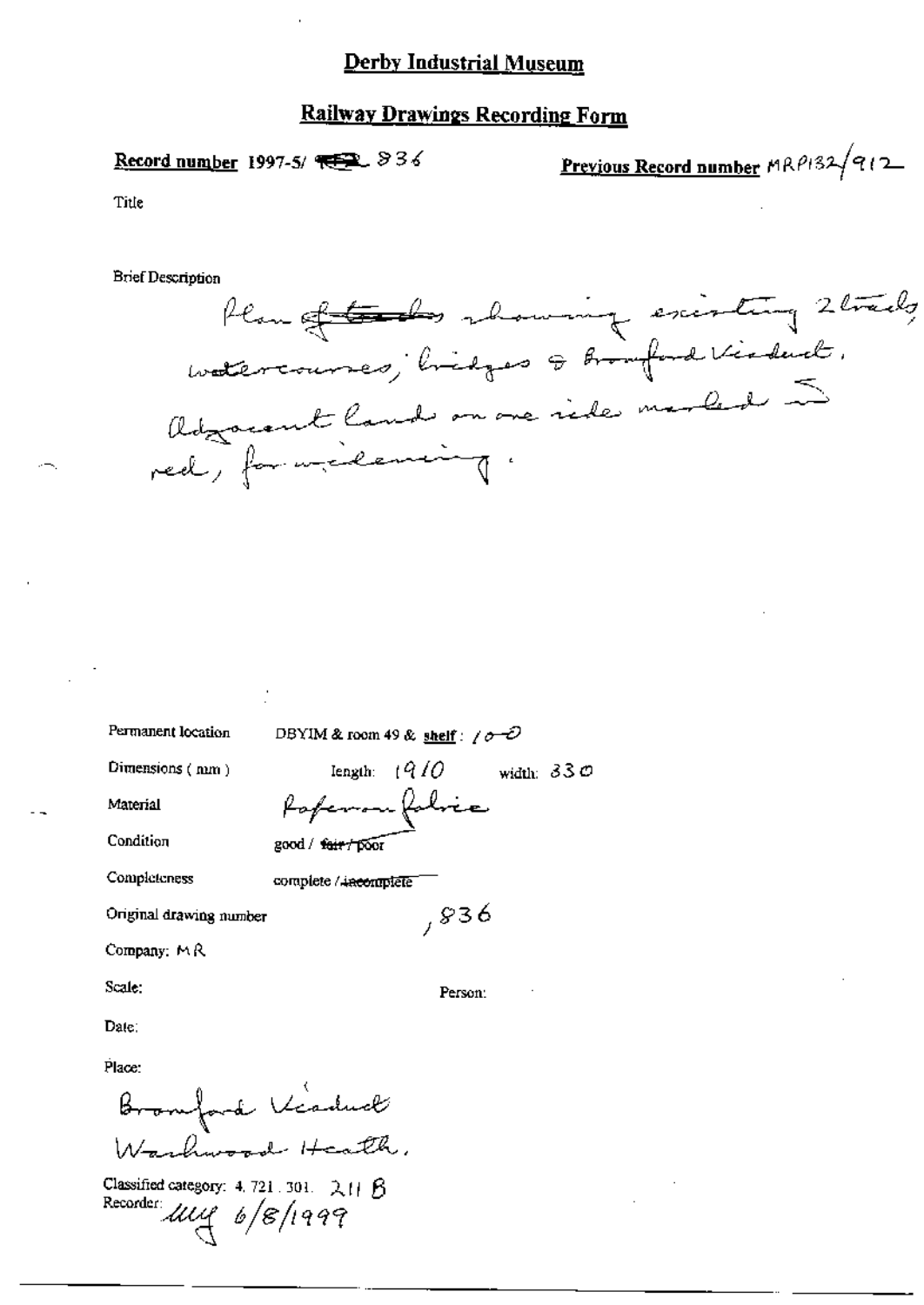### **Railway Drawings Recording Form**

Record number 1997-5/ $\sqrt{1.5}$   $\sqrt{2.5}$ 

Previous Record number MRP132/912

Title

**Brief Description** 



width:  $330$ 

Permanent location

DBYIM & room 49 & shelf:  $\sqrt{\sigma}$ 

length:  $(910)$ 

forfermon folice

Dimensions (num)

Material

Condition

Completeness

complete / incomplete

good / fair / poor

Original drawing number

Company: MR

Scale:

Person:

 $,836$ 

Date:

Place:

Bromford Kisduck Washington Heath,

Classified category: 4, 721, 301,  $2H$   $8$ Recorder use 6/8/1999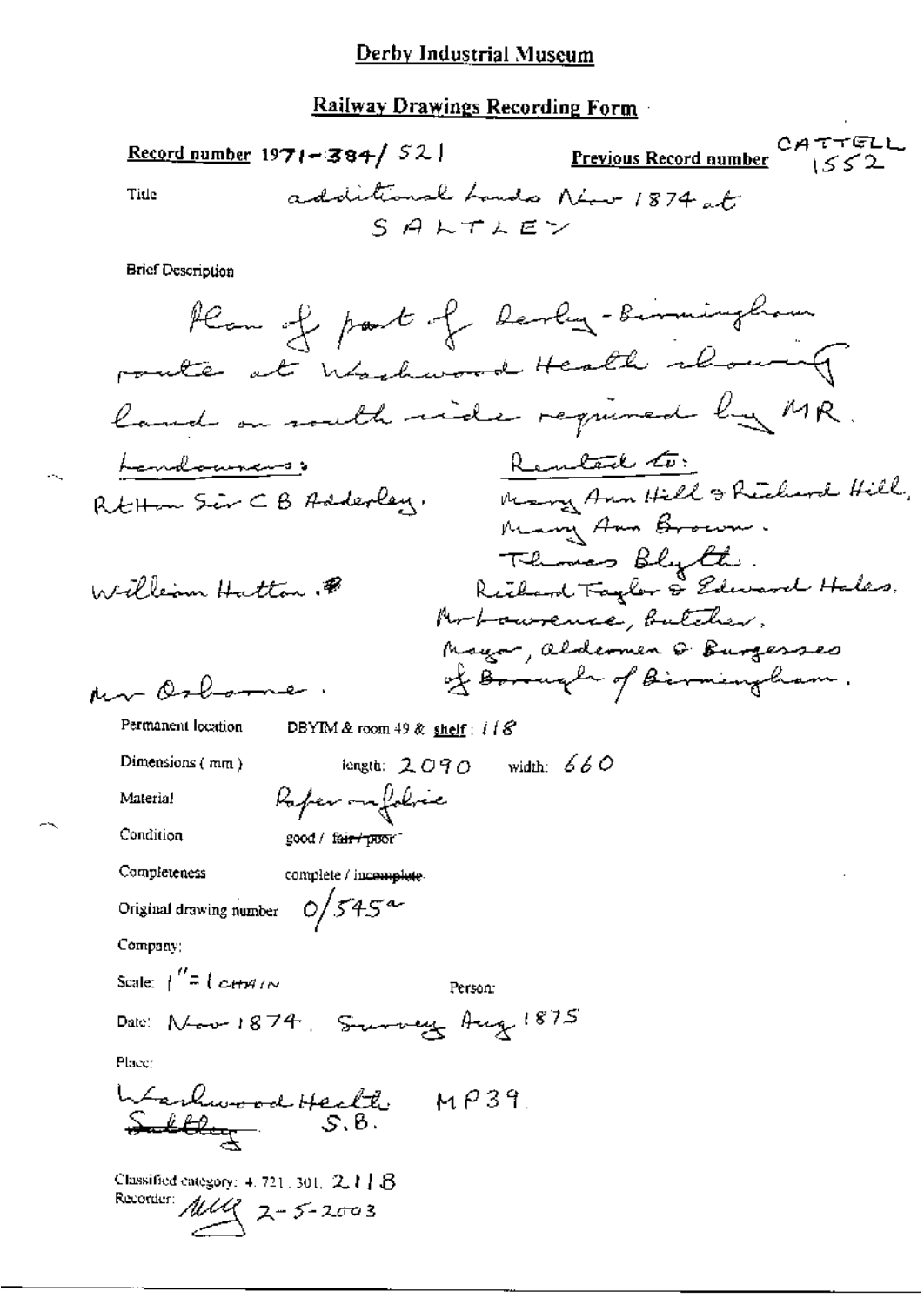#### **Railway Drawings Recording Form**

CATTELL Record number 1971-384/ $52$ Previous Record number  $1552$ additional Lands New 1874 at Title  $S$  $A$  $L$  $T$  $A$  $E$  $Y$ **Brief Description** Plan of part of larly-birmingham route at Washwood Health about land on south vide required by MR. Rental to: Landounces: RtHam Sir CB Adderley. Mary Ann Hill & Richard Hill, Mary Ann Brown. Thomas Blyth: .<br>Richard Taylor & Edward Hales. William Hatton P Modownence, Butcher, Mayor, aldermen & Burgesses of Borough of Birmingham. non Osbarne. Permanent location DBYIM & room 49 & shelf:  $i/8$ Dimensions (mm) length:  $2090$  width:  $660$ Rafer on folses Material Condition good / fair / proor Completeness complete / incomplete  $0/545^{\circ}$ Original drawing number Company; Scale:  $\int_{0}^{R} = \int \mathcal{L} H H d\mu$ Person: Date: Noon 1874. Survey Aug 1875 Placer WerhwoodHeckle MP39. <del>Sulley</del> S.B. Classified category:  $4.721, 301, 2.1$   $B$ Recorder:  $\mathcal{UU}$  2-5-2003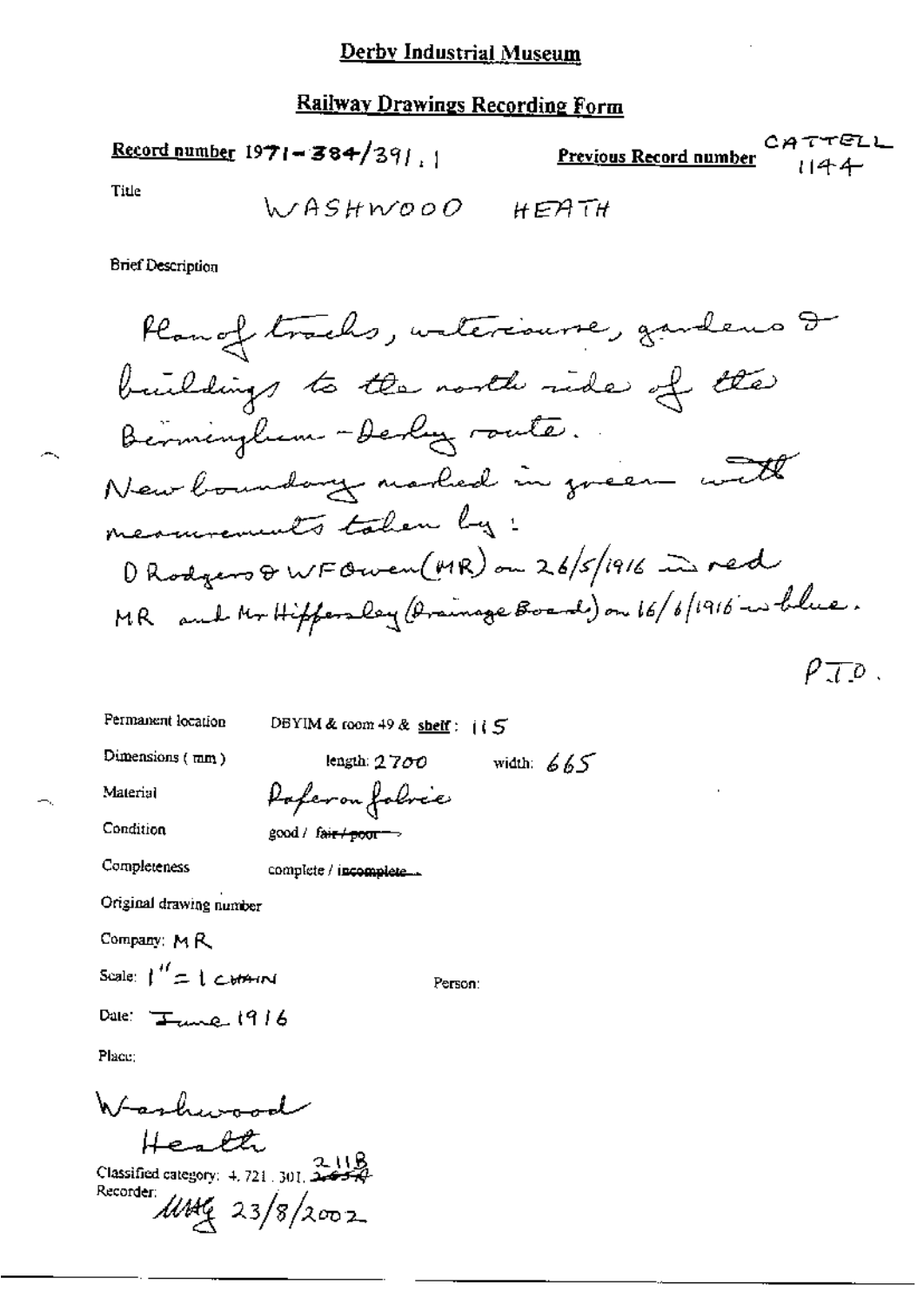Record number 
$$
1971 - 384/391
$$
 1 Previous Recon

$$
\frac{\text{[ous Record number}]}{1144}
$$

Title

**Brief Description** 

 $\rho_{\overline{J}}$  o.

Permanent location DBYIM & room 49 & shelf:  $15$ Dimensions (mm) length:  $2700$  width:  $665$ Paferon folice Material Condition  $good /$  fair  $\rightarrow$ Completeness complete / incomplete... Original drawing number Company: MR Scale:  $\int_{0}^{t} f(t) dt$ Person: Date:  $T_{\text{true}}$  1916

Place:

Washwood Health<br>Classified category: 4, 721, 301, 2007 Recorder  $\mu$ Meg 23/8/2002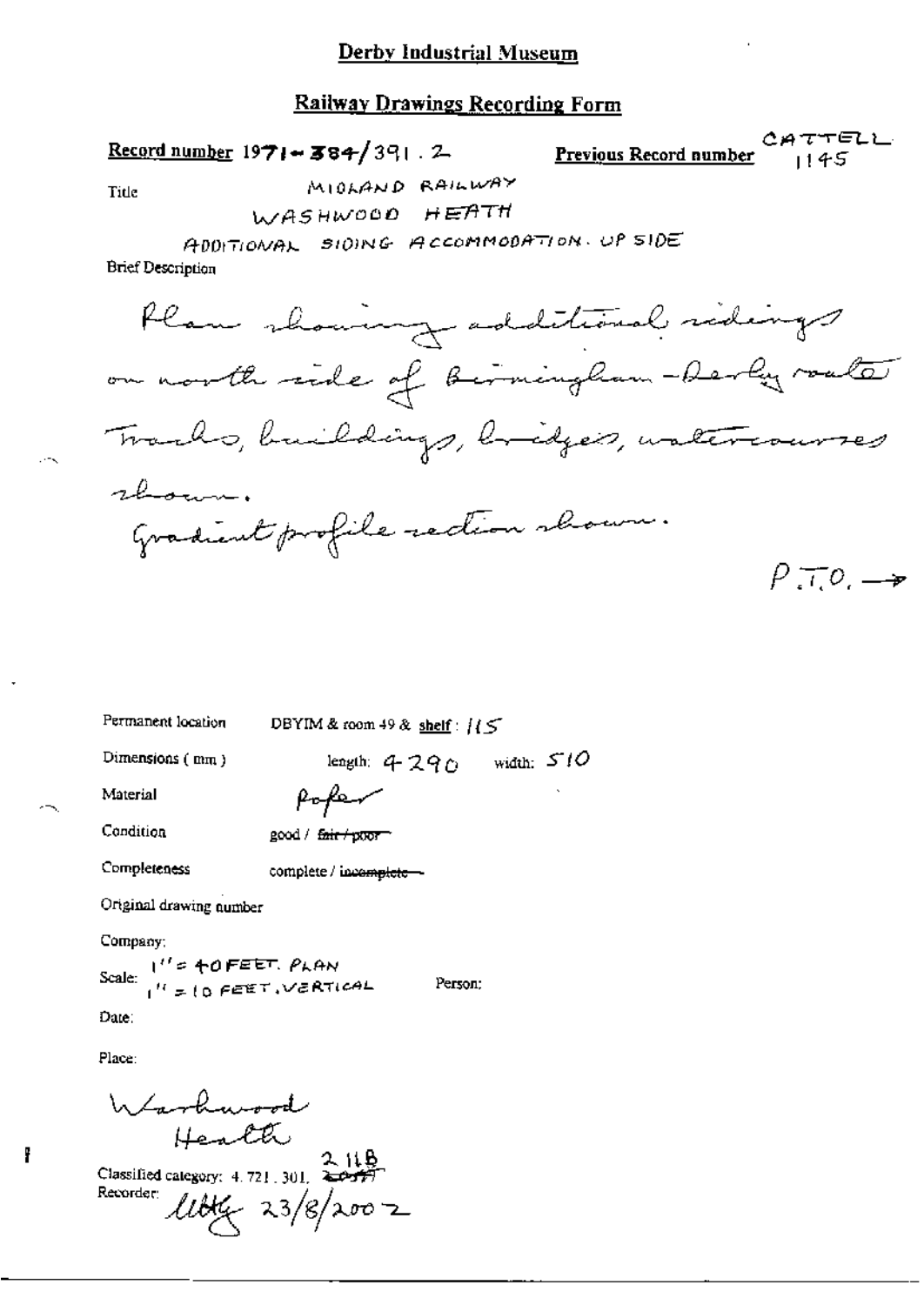#### **Railway Drawings Recording Form**

Record number  $1971 - 384/391$ . 2

CATTELL CREWIOUS Record number 1145

Title

WASHWOOD HEATH

ADDITIONAL SIDING ACCOMMODATION. UP SIDE

MICLAND RAILWAY

**Brief Description** 

Plan showing additional sidings on north side of birmingham-berly roate Tracks, buildings, bridges, watercourses shown. Gradient profile rection shown.  $P\top Q \rightarrow$ 

| Permanent location      | DBYIM & room 49 & shelf: $15$ |              |  |
|-------------------------|-------------------------------|--------------|--|
| Dimensions $(mm)$       | length: 4290                  | width: $510$ |  |
| Material                | fofen                         | ٠            |  |
| Condition               | good / fair / poor            |              |  |
| Completeness            | complete / incomplete ~       |              |  |
| Original drawing number |                               |              |  |
| Comnoss:                |                               |              |  |

Scale:  $1''$  =  $+0$  FEET, PLAN<br> $1''$  =  $10$  FEET, VERTICAL Person:

Date:

Place:

f

Warburood  $H = LH$ <br>Classified category: 4.721.301.  $\overleftrightarrow{L}$ Recorder:  $\mu$ bk $\frac{1}{2}$  23/8/2007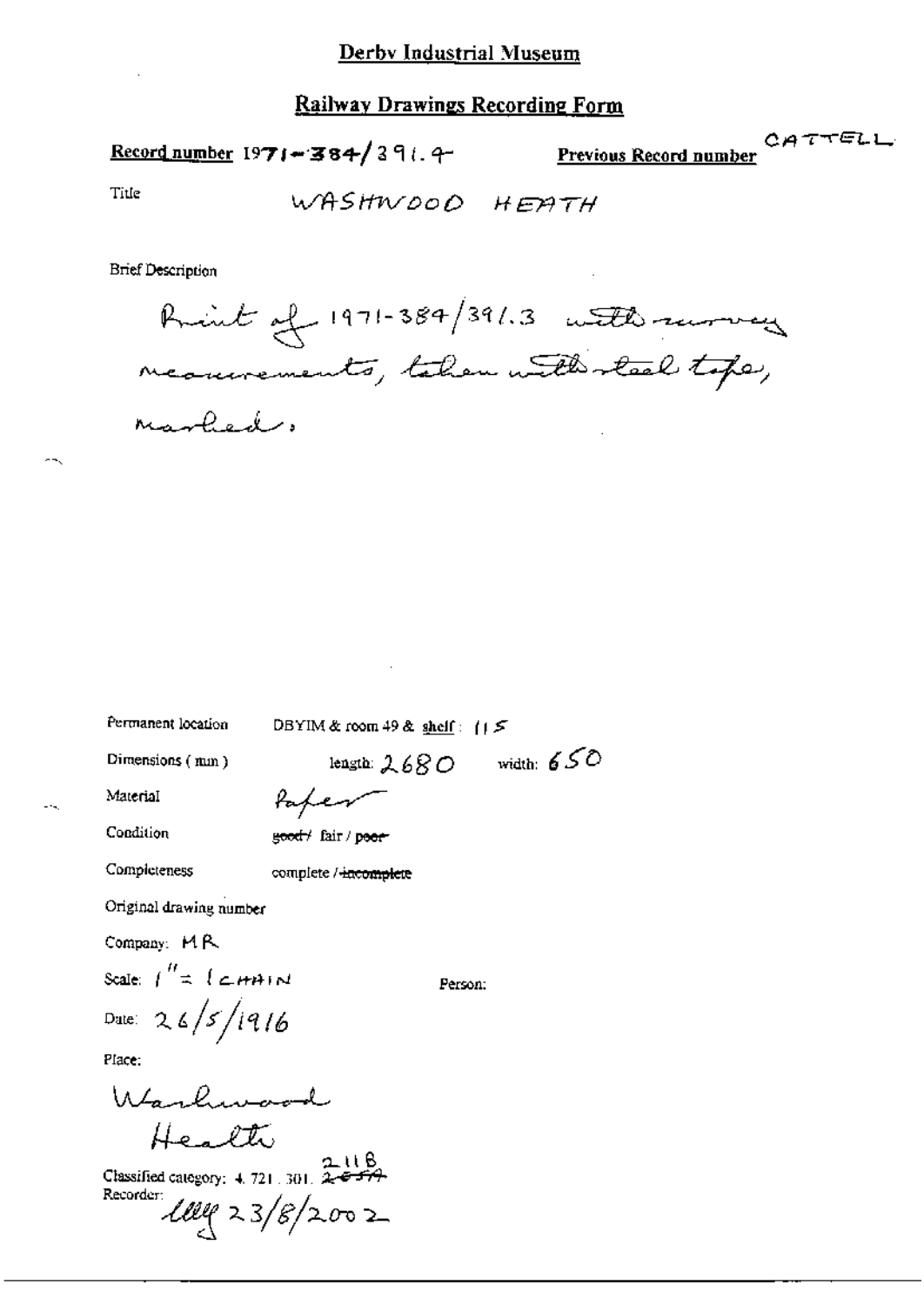## Record number 1971-384/391.4

CATTELL Previous Record number

Title

WASHWOOD HEATH

**Brief Description** 

Print of 1971-384/391.3 with running meanments, taken with steel tope, Marked.

Permanent location

DBYIM & room 49 & shelf:  $||5||$ 

Dimensions (mm)

length:  $2680$  width:  $650$ 

Person:

Material

Condition

tapen good fair / poor

Completeness

complete / incomplete

Original drawing number

Company: MR

Scale:  $\int_{0}^{H}$   $\approx$   $\int$   $\epsilon$   $H$   $\theta$   $\sim$   $\theta$ Date: 26/5/1916

Place:

Warlwood Health

Classified category:  $4.721.301.$  2-8-579<br>Recorder: Recorder  $Ully 23/8/2002$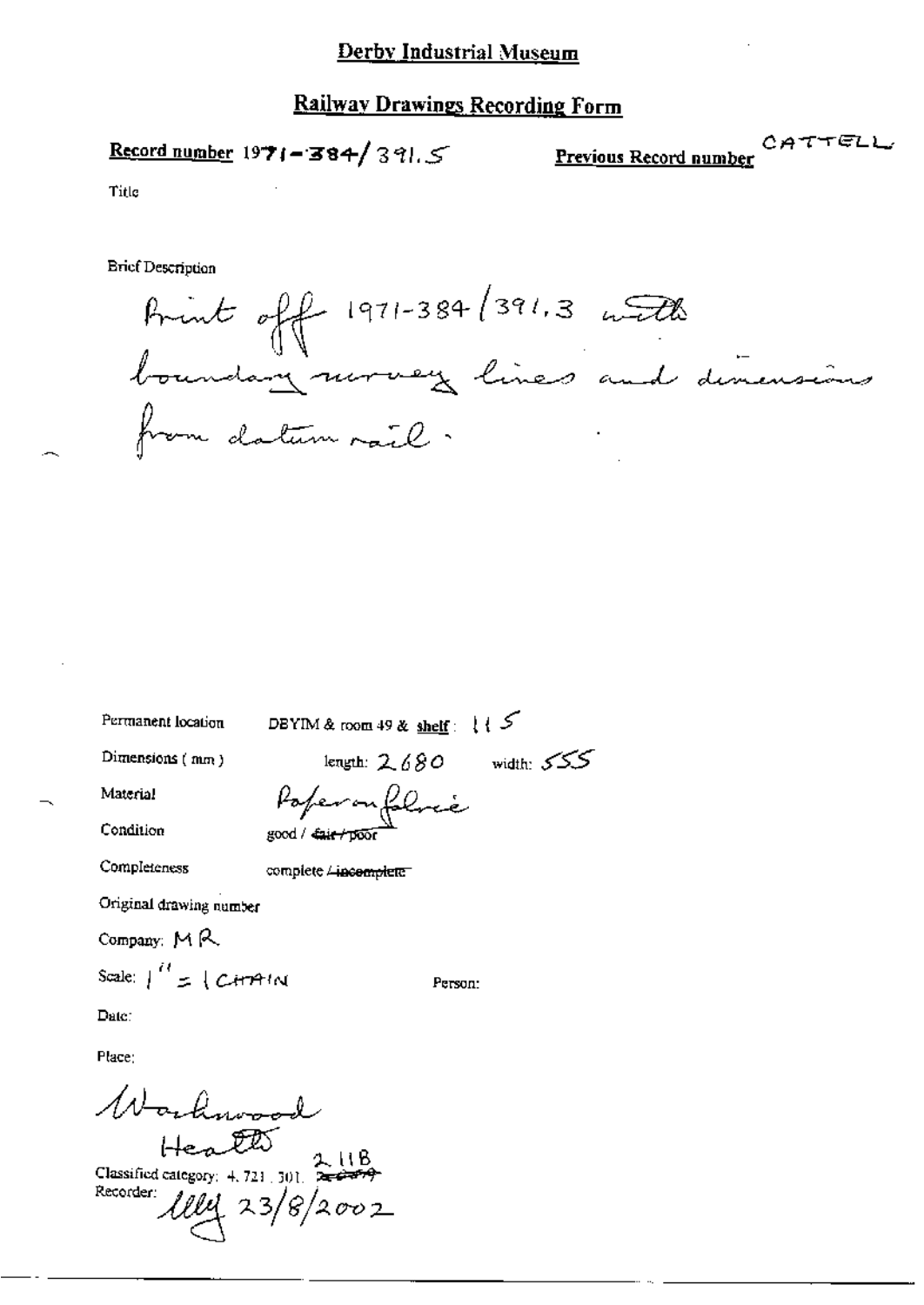# Record number 1971-384/391.5

 $\text{CATTELL}\xspace$  <br> <u>Previous Record number</u>

Title

**Brief Description** 

Brint off 1971-384/391.3 with<br>boundary nurvey lines and dinensions<br>from datum rail.

Permanent location

DBYIM & room 49 & shelf:  $\{\sqrt{\}$ 

Poperonfoloce

Dimensions (mm)

length:  $2.680$  width:  $555$ 

Person:

Material

Condition

Completeness

complete Lincomplete

good / cair/poor

Original drawing number

Company:  $M R$ 

Scale:  $\int_{0}^{H}$  = { C+++++ M

Date:

Place:

Warleywood  $H = 20$ Classified category: 4, 721 [ 301] Recorder: llly 23/8/2002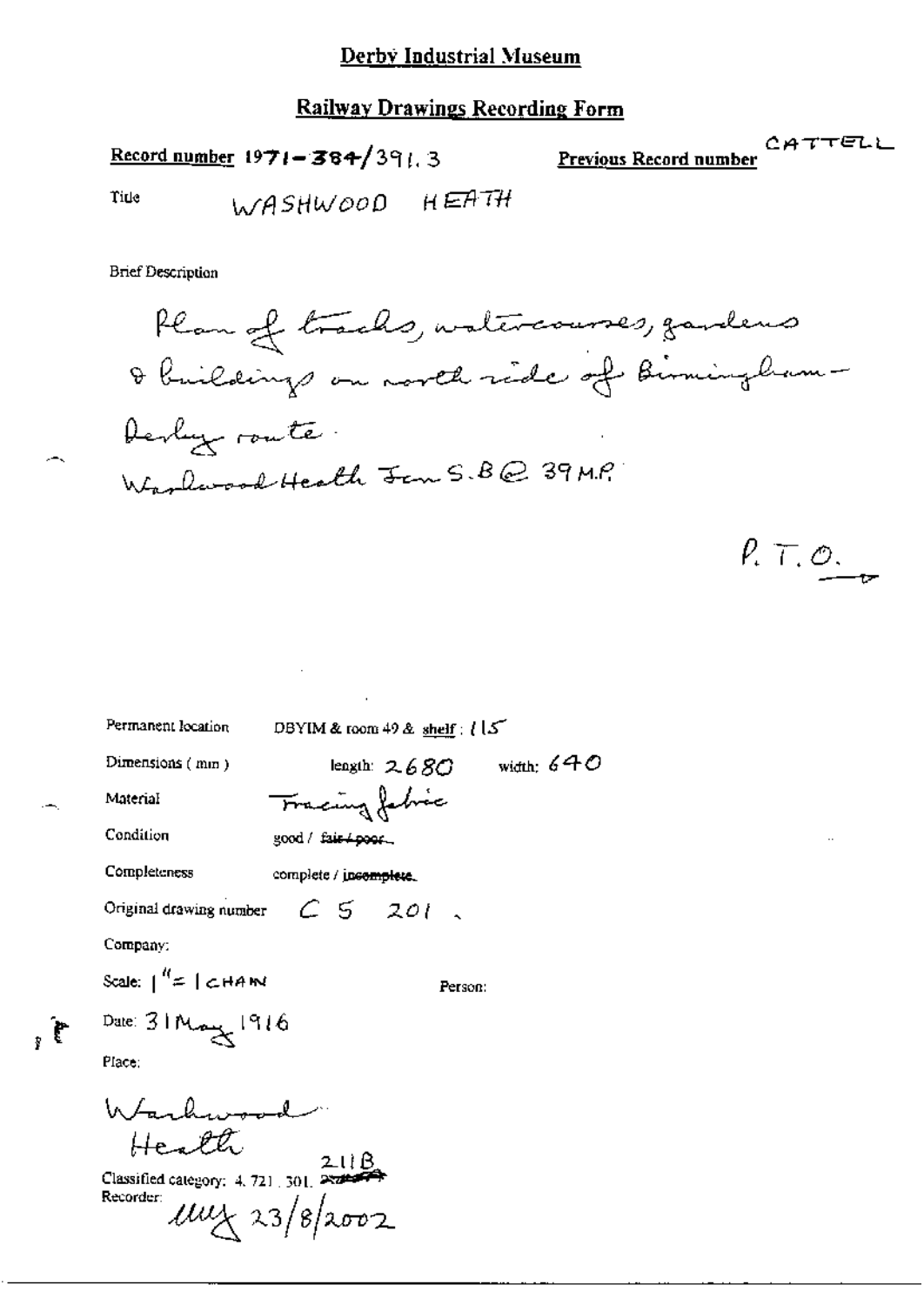Record number  $1971 - 384/391.3$ 

CATTELL **Previous Record number** 

Title

WASHWOOD HEATH

**Brief Description** 

 $\mathbf{f}_i$ 

 $P. T. O.$ 

Permanent location DBYIM & room 49 & shelf : [ [5] length:  $2680$  width:  $640$ Dimensions (mm) Tracing fabric Material Condition good / fair + poor. Completeness complete / jncomplete. Original drawing number  $C5201$ , Company: Scale:  $\int_0^{R} f(x) \, dx$  |  $C$  HAM Person: Date: 31 May 1916 Place: Warbwood Health Classified category: 4, 721, 301,  $\overrightarrow{P}$ Recorder:  $\mu\nu\chi$  23/8/2002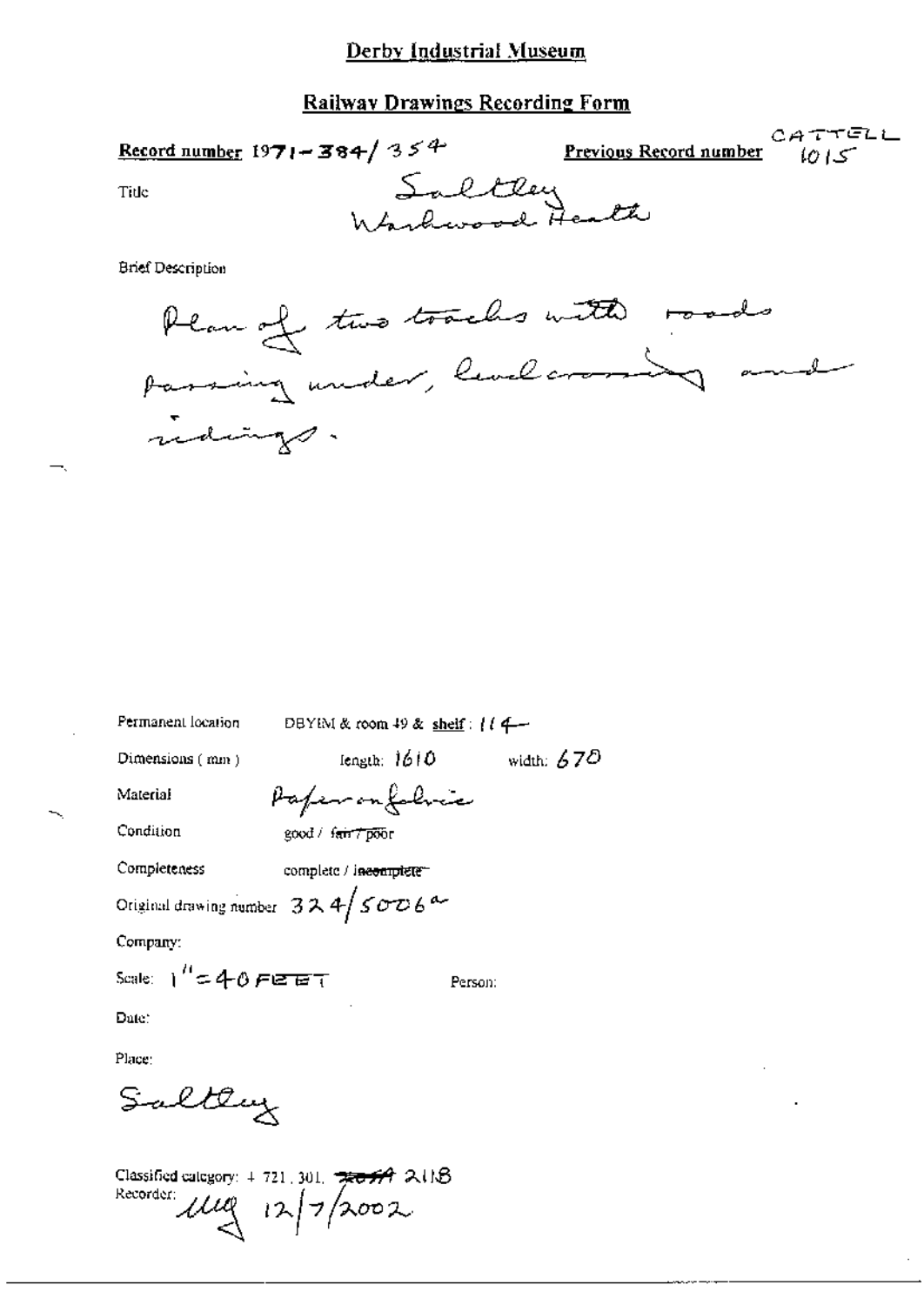#### **Railway Drawings Recording Form**

| <u>Record number</u> 1971 - 384/35 <sup>4</sup> | <b>Previous Record number</b> $\{Q\}$ | CATTELL |
|-------------------------------------------------|---------------------------------------|---------|
| Tide                                            | Saltley<br>Wardwood Health            |         |
|                                                 |                                       |         |

**Brief Description** 



| Permanent location                               | DBYIM & room 49 & shelf: $(14 -$    |              |  |  |
|--------------------------------------------------|-------------------------------------|--------------|--|--|
| Dimensions (mm)                                  | length: 1610                        | width: $670$ |  |  |
| Material                                         | Paper on folice                     |              |  |  |
| Condition                                        | good / f <del>air 7 poo</del> r     |              |  |  |
| Completeness                                     | complete / i <del>nconplete =</del> |              |  |  |
| Original drawing number $324/5006$ <sup>d-</sup> |                                     |              |  |  |
| Company:                                         |                                     |              |  |  |
| Scale: $1'' = 40$ FEET                           |                                     | Person:      |  |  |
| Dute :                                           |                                     |              |  |  |
| Place:                                           |                                     |              |  |  |
| Saltery                                          |                                     |              |  |  |

Classified category:  $4.721, 301, \frac{1}{200}$   $\frac{1}{24}$  2.11.8 Recorder:  $\mu$  $\approx$   $12/2002$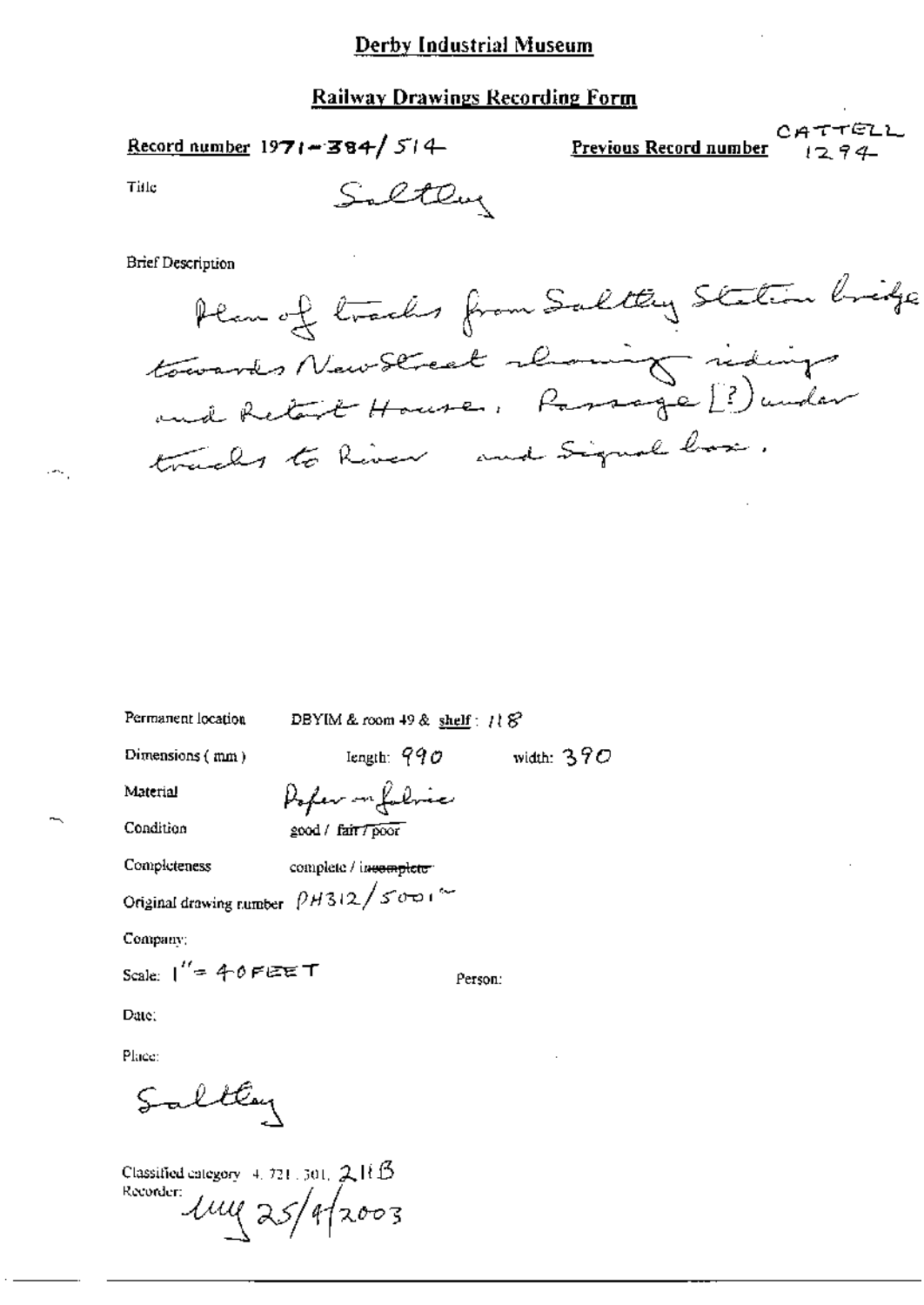Saltley

Record number  $1971 - 384 / 514$ 

CATTELL Previous Record number

Title

**Brief Description** 

Plan of tracks from Saltey Station bridge towards New Street rhowing riding tracks to River and Signal box.

width:  $390$ 

Permanent location

Dimensions (mm)

DBYIM & room 49 & shelf:  $118^{\circ}$ 

length:  $990$ 

Material

Pofer in folice good / fair / poor

Completeness

Condition

complete / incomplete

Original drawing number  $\left[ \rho_{H312} \right/ \rho_{\overline{D}}$ 

Company:

Person:

Date:

Place:

Saltey

Classified category 4, 721, 301,  $2HB$ Roconter Lug 25/9/2003